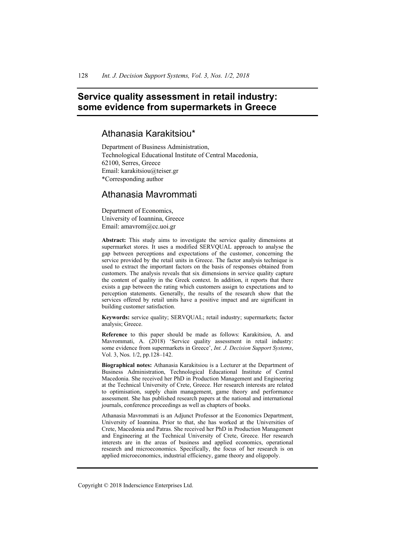# **Service quality assessment in retail industry: some evidence from supermarkets in Greece**

# Athanasia Karakitsiou\*

Department of Business Administration, Technological Educational Institute of Central Macedonia, 62100, Serres, Greece Email: karakitsiou@teiser.gr \*Corresponding author

# Athanasia Mavrommati

Department of Economics, University of Ioannina, Greece Email: amavrom@cc.uoi.gr

**Abstract:** This study aims to investigate the service quality dimensions at supermarket stores. It uses a modified SERVQUAL approach to analyse the gap between perceptions and expectations of the customer, concerning the service provided by the retail units in Greece. The factor analysis technique is used to extract the important factors on the basis of responses obtained from customers. The analysis reveals that six dimensions in service quality capture the content of quality in the Greek context. In addition, it reports that there exists a gap between the rating which customers assign to expectations and to perception statements. Generally, the results of the research show that the services offered by retail units have a positive impact and are significant in building customer satisfaction.

**Keywords:** service quality; SERVQUAL; retail industry; supermarkets; factor analysis; Greece.

**Reference** to this paper should be made as follows: Karakitsiou, A. and Mavrommati, A. (2018) 'Service quality assessment in retail industry: some evidence from supermarkets in Greece', *Int. J. Decision Support Systems*, Vol. 3, Nos. 1/2, pp.128–142.

**Biographical notes:** Athanasia Karakitsiou is a Lecturer at the Department of Business Administration, Technological Educational Institute of Central Macedonia. She received her PhD in Production Management and Engineering at the Technical University of Crete, Greece. Her research interests are related to optimisation, supply chain management, game theory and performance assessment. She has published research papers at the national and international journals, conference proceedings as well as chapters of books.

Athanasia Mavrommati is an Adjunct Professor at the Economics Department, University of Ioannina. Prior to that, she has worked at the Universities of Crete, Macedonia and Patras. She received her PhD in Production Management and Engineering at the Technical University of Crete, Greece. Her research interests are in the areas of business and applied economics, operational research and microeconomics. Specifically, the focus of her research is on applied microeconomics, industrial efficiency, game theory and oligopoly.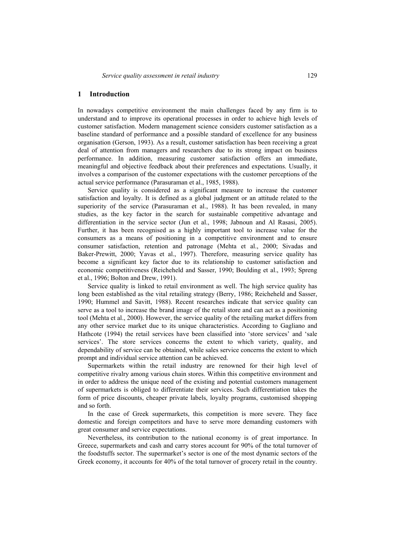# **1 Introduction**

In nowadays competitive environment the main challenges faced by any firm is to understand and to improve its operational processes in order to achieve high levels of customer satisfaction. Modern management science considers customer satisfaction as a baseline standard of performance and a possible standard of excellence for any business organisation (Gerson, 1993). As a result, customer satisfaction has been receiving a great deal of attention from managers and researchers due to its strong impact on business performance. In addition, measuring customer satisfaction offers an immediate, meaningful and objective feedback about their preferences and expectations. Usually, it involves a comparison of the customer expectations with the customer perceptions of the actual service performance (Parasuraman et al., 1985, 1988).

Service quality is considered as a significant measure to increase the customer satisfaction and loyalty. It is defined as a global judgment or an attitude related to the superiority of the service (Parasuraman et al., 1988). It has been revealed, in many studies, as the key factor in the search for sustainable competitive advantage and differentiation in the service sector (Jun et al., 1998; Jabnoun and Al Rasasi, 2005). Further, it has been recognised as a highly important tool to increase value for the consumers as a means of positioning in a competitive environment and to ensure consumer satisfaction, retention and patronage (Mehta et al., 2000; Sivadas and Baker-Prewitt, 2000; Yavas et al., 1997). Therefore, measuring service quality has become a significant key factor due to its relationship to customer satisfaction and economic competitiveness (Reicheheld and Sasser, 1990; Boulding et al., 1993; Spreng et al., 1996; Bolton and Drew, 1991).

Service quality is linked to retail environment as well. The high service quality has long been established as the vital retailing strategy (Berry, 1986; Reicheheld and Sasser, 1990; Hummel and Savitt, 1988). Recent researches indicate that service quality can serve as a tool to increase the brand image of the retail store and can act as a positioning tool (Mehta et al., 2000). However, the service quality of the retailing market differs from any other service market due to its unique characteristics. According to Gagliano and Hathcote (1994) the retail services have been classified into 'store services' and 'sale services'. The store services concerns the extent to which variety, quality, and dependability of service can be obtained, while sales service concerns the extent to which prompt and individual service attention can be achieved.

Supermarkets within the retail industry are renowned for their high level of competitive rivalry among various chain stores. Within this competitive environment and in order to address the unique need of the existing and potential customers management of supermarkets is obliged to differentiate their services. Such differentiation takes the form of price discounts, cheaper private labels, loyalty programs, customised shopping and so forth.

In the case of Greek supermarkets, this competition is more severe. They face domestic and foreign competitors and have to serve more demanding customers with great consumer and service expectations.

Nevertheless, its contribution to the national economy is of great importance. In Greece, supermarkets and cash and carry stores account for 90% of the total turnover of the foodstuffs sector. The supermarket's sector is one of the most dynamic sectors of the Greek economy, it accounts for 40% of the total turnover of grocery retail in the country.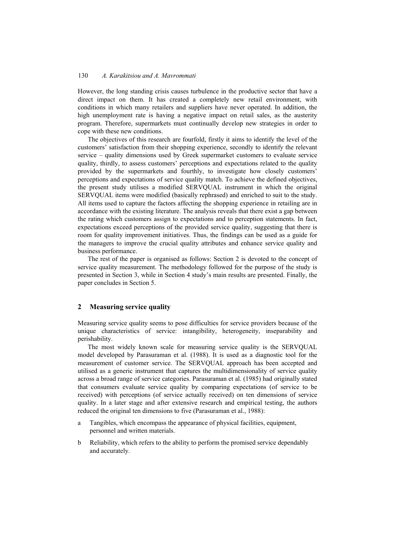However, the long standing crisis causes turbulence in the productive sector that have a direct impact on them. It has created a completely new retail environment, with conditions in which many retailers and suppliers have never operated. In addition, the high unemployment rate is having a negative impact on retail sales, as the austerity program. Therefore, supermarkets must continually develop new strategies in order to cope with these new conditions.

The objectives of this research are fourfold, firstly it aims to identify the level of the customers' satisfaction from their shopping experience, secondly to identify the relevant service – quality dimensions used by Greek supermarket customers to evaluate service quality, thirdly, to assess customers' perceptions and expectations related to the quality provided by the supermarkets and fourthly, to investigate how closely customers' perceptions and expectations of service quality match. To achieve the defined objectives, the present study utilises a modified SERVQUAL instrument in which the original SERVQUAL items were modified (basically rephrased) and enriched to suit to the study. All items used to capture the factors affecting the shopping experience in retailing are in accordance with the existing literature. The analysis reveals that there exist a gap between the rating which customers assign to expectations and to perception statements. In fact, expectations exceed perceptions of the provided service quality, suggesting that there is room for quality improvement initiatives. Thus, the findings can be used as a guide for the managers to improve the crucial quality attributes and enhance service quality and business performance.

The rest of the paper is organised as follows: Section 2 is devoted to the concept of service quality measurement. The methodology followed for the purpose of the study is presented in Section 3, while in Section 4 study's main results are presented. Finally, the paper concludes in Section 5.

# **2 Measuring service quality**

Measuring service quality seems to pose difficulties for service providers because of the unique characteristics of service: intangibility, heterogeneity, inseparability and perishability.

The most widely known scale for measuring service quality is the SERVQUAL model developed by Parasuraman et al. (1988). It is used as a diagnostic tool for the measurement of customer service. The SERVQUAL approach has been accepted and utilised as a generic instrument that captures the multidimensionality of service quality across a broad range of service categories. Parasuraman et al. (1985) had originally stated that consumers evaluate service quality by comparing expectations (of service to be received) with perceptions (of service actually received) on ten dimensions of service quality. In a later stage and after extensive research and empirical testing, the authors reduced the original ten dimensions to five (Parasuraman et al., 1988):

- a Tangibles, which encompass the appearance of physical facilities, equipment, personnel and written materials.
- b Reliability, which refers to the ability to perform the promised service dependably and accurately.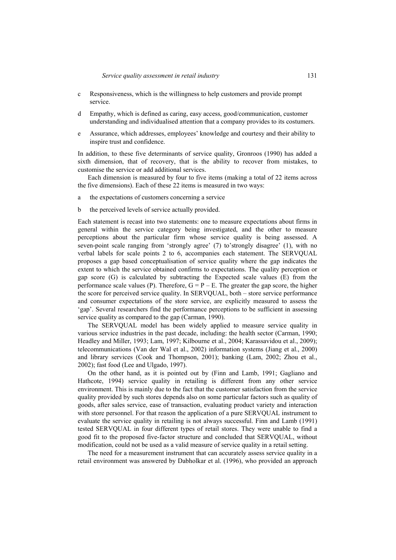- c Responsiveness, which is the willingness to help customers and provide prompt service.
- d Empathy, which is defined as caring, easy access, good/communication, customer understanding and individualised attention that a company provides to its costumers.
- e Assurance, which addresses, employees' knowledge and courtesy and their ability to inspire trust and confidence.

In addition, to these five determinants of service quality, Gronroos (1990) has added a sixth dimension, that of recovery, that is the ability to recover from mistakes, to customise the service or add additional services.

Each dimension is measured by four to five items (making a total of 22 items across the five dimensions). Each of these 22 items is measured in two ways:

- a the expectations of customers concerning a service
- b the perceived levels of service actually provided.

Each statement is recast into two statements: one to measure expectations about firms in general within the service category being investigated, and the other to measure perceptions about the particular firm whose service quality is being assessed. A seven-point scale ranging from 'strongly agree' (7) to'strongly disagree' (1), with no verbal labels for scale points 2 to 6, accompanies each statement. The SERVQUAL proposes a gap based conceptualisation of service quality where the gap indicates the extent to which the service obtained confirms to expectations. The quality perception or gap score (G) is calculated by subtracting the Expected scale values (E) from the performance scale values (P). Therefore,  $G = P - E$ . The greater the gap score, the higher the score for perceived service quality. In SERVQUAL, both – store service performance and consumer expectations of the store service, are explicitly measured to assess the 'gap'. Several researchers find the performance perceptions to be sufficient in assessing service quality as compared to the gap (Carman, 1990).

The SERVQUAL model has been widely applied to measure service quality in various service industries in the past decade, including: the health sector (Carman, 1990; Headley and Miller, 1993; Lam, 1997; Kilbourne et al., 2004; Karassavidou et al., 2009); telecommunications (Van der Wal et al., 2002) information systems (Jiang et al., 2000) and library services (Cook and Thompson, 2001); banking (Lam, 2002; Zhou et al., 2002); fast food (Lee and Ulgado, 1997).

On the other hand, as it is pointed out by (Finn and Lamb, 1991; Gagliano and Hathcote, 1994) service quality in retailing is different from any other service environment. This is mainly due to the fact that the customer satisfaction from the service quality provided by such stores depends also on some particular factors such as quality of goods, after sales service, ease of transaction, evaluating product variety and interaction with store personnel. For that reason the application of a pure SERVQUAL instrument to evaluate the service quality in retailing is not always successful. Finn and Lamb (1991) tested SERVQUAL in four different types of retail stores. They were unable to find a good fit to the proposed five-factor structure and concluded that SERVQUAL, without modification, could not be used as a valid measure of service quality in a retail setting.

The need for a measurement instrument that can accurately assess service quality in a retail environment was answered by Dabholkar et al. (1996), who provided an approach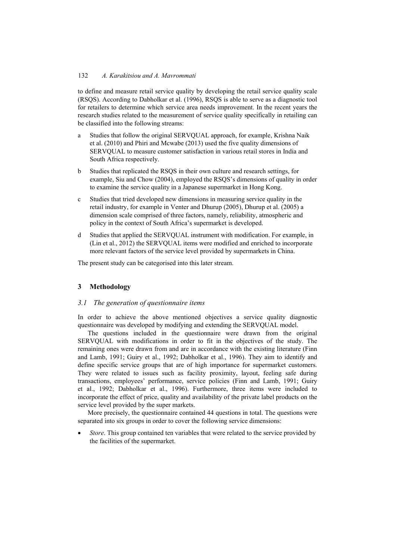to define and measure retail service quality by developing the retail service quality scale (RSQS). According to Dabholkar et al. (1996), RSQS is able to serve as a diagnostic tool for retailers to determine which service area needs improvement. In the recent years the research studies related to the measurement of service quality specifically in retailing can be classified into the following streams:

- a Studies that follow the original SERVQUAL approach, for example, Krishna Naik et al. (2010) and Phiri and Mcwabe (2013) used the five quality dimensions of SERVQUAL to measure customer satisfaction in various retail stores in India and South Africa respectively.
- b Studies that replicated the RSQS in their own culture and research settings, for example, Siu and Chow (2004), employed the RSQS's dimensions of quality in order to examine the service quality in a Japanese supermarket in Hong Kong.
- c Studies that tried developed new dimensions in measuring service quality in the retail industry, for example in Venter and Dhurup (2005), Dhurup et al. (2005) a dimension scale comprised of three factors, namely, reliability, atmospheric and policy in the context of South Africa's supermarket is developed.
- Studies that applied the SERVOUAL instrument with modification. For example, in (Lin et al., 2012) the SERVQUAL items were modified and enriched to incorporate more relevant factors of the service level provided by supermarkets in China.

The present study can be categorised into this later stream.

# **3 Methodology**

#### *3.1 The generation of questionnaire items*

In order to achieve the above mentioned objectives a service quality diagnostic questionnaire was developed by modifying and extending the SERVQUAL model.

The questions included in the questionnaire were drawn from the original SERVQUAL with modifications in order to fit in the objectives of the study. The remaining ones were drawn from and are in accordance with the existing literature (Finn and Lamb, 1991; Guiry et al., 1992; Dabholkar et al., 1996). They aim to identify and define specific service groups that are of high importance for supermarket customers. They were related to issues such as facility proximity, layout, feeling safe during transactions, employees' performance, service policies (Finn and Lamb, 1991; Guiry et al., 1992; Dabholkar et al., 1996). Furthermore, three items were included to incorporate the effect of price, quality and availability of the private label products on the service level provided by the super markets.

More precisely, the questionnaire contained 44 questions in total. The questions were separated into six groups in order to cover the following service dimensions:

Store. This group contained ten variables that were related to the service provided by the facilities of the supermarket.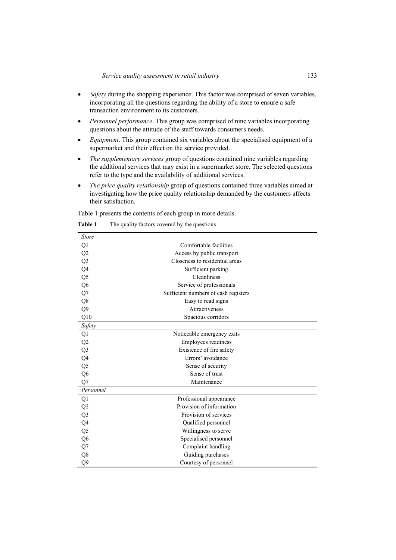- *Safety* during the shopping experience. This factor was comprised of seven variables, incorporating all the questions regarding the ability of a store to ensure a safe transaction environment to its customers.
- *Personnel performance*. This group was comprised of nine variables incorporating questions about the attitude of the staff towards consumers needs.
- *Equipment*. This group contained six variables about the specialised equipment of a supermarket and their effect on the service provided.
- *The supplementary services* group of questions contained nine variables regarding the additional services that may exist in a supermarket store. The selected questions refer to the type and the availability of additional services.
- x *The price quality relationship* group of questions contained three variables aimed at investigating how the price quality relationship demanded by the customers affects their satisfaction.

Table 1 presents the contents of each group in more details.

| <b>Store</b>   |                                      |  |  |  |  |
|----------------|--------------------------------------|--|--|--|--|
| Q1             | Comfortable facilities               |  |  |  |  |
| Q <sub>2</sub> | Access by public transport           |  |  |  |  |
| Q <sub>3</sub> | Closeness to residential areas       |  |  |  |  |
| Q4             | Sufficient parking                   |  |  |  |  |
| Q <sub>5</sub> | Cleanliness                          |  |  |  |  |
| Q <sub>6</sub> | Service of professionals             |  |  |  |  |
| Q7             | Sufficient numbers of cash registers |  |  |  |  |
| Q8             | Easy to read signs                   |  |  |  |  |
| Q <sub>9</sub> | Attractiveness                       |  |  |  |  |
| Q10            | Spacious corridors                   |  |  |  |  |
| Safety         |                                      |  |  |  |  |
| Q1             | Noticeable emergency exits           |  |  |  |  |
| Q2             | Employees readiness                  |  |  |  |  |
| Q <sub>3</sub> | Existence of fire safety             |  |  |  |  |
| Q4             | Errors' avoidance                    |  |  |  |  |
| Q <sub>5</sub> | Sense of security                    |  |  |  |  |
| Q <sub>6</sub> | Sense of trust                       |  |  |  |  |
| Q7             | Maintenance                          |  |  |  |  |
| Personnel      |                                      |  |  |  |  |
| Q1             | Professional appearance              |  |  |  |  |
| Q2             | Provision of information             |  |  |  |  |
| Q <sub>3</sub> | Provision of services                |  |  |  |  |
| Q4             | Qualified personnel                  |  |  |  |  |
| Q <sub>5</sub> | Willingness to serve                 |  |  |  |  |
| Q <sub>6</sub> | Specialised personnel                |  |  |  |  |
| Q7             | Complaint handling                   |  |  |  |  |
| Q8             | Guiding purchases                    |  |  |  |  |
| O <sub>9</sub> | Courtesy of personnel                |  |  |  |  |

**Table 1** The quality factors covered by the questions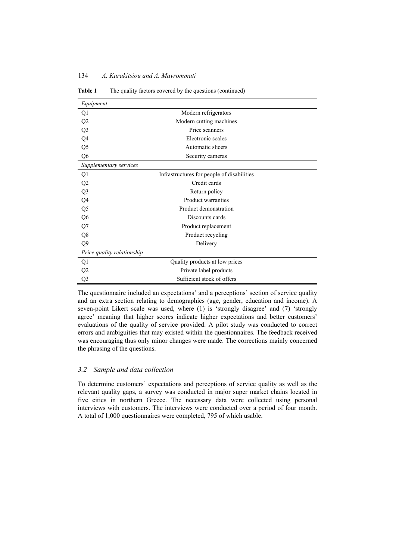| Equipment                  |                                            |
|----------------------------|--------------------------------------------|
| Q1                         | Modern refrigerators                       |
| Q2                         | Modern cutting machines                    |
| Q <sub>3</sub>             | Price scanners                             |
| Q4                         | Electronic scales                          |
| Q5                         | Automatic slicers                          |
| Q <sub>6</sub>             | Security cameras                           |
| Supplementary services     |                                            |
| Q1                         | Infrastructures for people of disabilities |
| Q <sub>2</sub>             | Credit cards                               |
| Q <sub>3</sub>             | Return policy                              |
| Q4                         | Product warranties                         |
| Q5                         | Product demonstration                      |
| Q <sub>6</sub>             | Discounts cards                            |
| Q7                         | Product replacement                        |
| Q8                         | Product recycling                          |
| Q <sub>9</sub>             | Delivery                                   |
| Price quality relationship |                                            |
| Q1                         | Quality products at low prices             |
| Q2                         | Private label products                     |
| Q <sub>3</sub>             | Sufficient stock of offers                 |

Table 1 The quality factors covered by the questions (continued)

The questionnaire included an expectations' and a perceptions' section of service quality and an extra section relating to demographics (age, gender, education and income). A seven-point Likert scale was used, where (1) is 'strongly disagree' and (7) 'strongly agree' meaning that higher scores indicate higher expectations and better customers' evaluations of the quality of service provided. A pilot study was conducted to correct errors and ambiguities that may existed within the questionnaires. The feedback received was encouraging thus only minor changes were made. The corrections mainly concerned the phrasing of the questions.

#### *3.2 Sample and data collection*

To determine customers' expectations and perceptions of service quality as well as the relevant quality gaps, a survey was conducted in major super market chains located in five cities in northern Greece. The necessary data were collected using personal interviews with customers. The interviews were conducted over a period of four month. A total of 1,000 questionnaires were completed, 795 of which usable.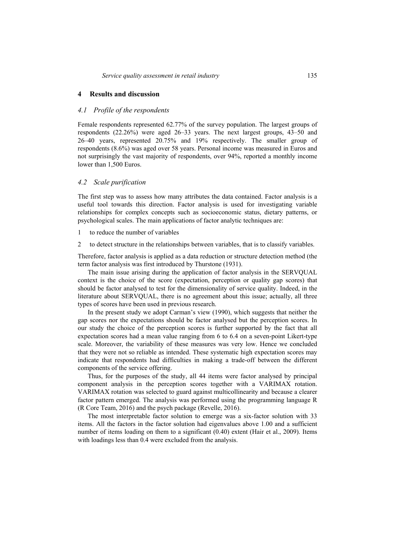# **4 Results and discussion**

#### *4.1 Profile of the respondents*

Female respondents represented 62.77% of the survey population. The largest groups of respondents (22.26%) were aged 26–33 years. The next largest groups, 43–50 and 26–40 years, represented 20.75% and 19% respectively. The smaller group of respondents (8.6%) was aged over 58 years. Personal income was measured in Euros and not surprisingly the vast majority of respondents, over 94%, reported a monthly income lower than 1,500 Euros.

#### *4.2 Scale purification*

The first step was to assess how many attributes the data contained. Factor analysis is a useful tool towards this direction. Factor analysis is used for investigating variable relationships for complex concepts such as socioeconomic status, dietary patterns, or psychological scales. The main applications of factor analytic techniques are:

- 1 to reduce the number of variables
- 2 to detect structure in the relationships between variables, that is to classify variables.

Therefore, factor analysis is applied as a data reduction or structure detection method (the term factor analysis was first introduced by Thurstone (1931).

The main issue arising during the application of factor analysis in the SERVQUAL context is the choice of the score (expectation, perception or quality gap scores) that should be factor analysed to test for the dimensionality of service quality. Indeed, in the literature about SERVQUAL, there is no agreement about this issue; actually, all three types of scores have been used in previous research.

In the present study we adopt Carman's view (1990), which suggests that neither the gap scores nor the expectations should be factor analysed but the perception scores. In our study the choice of the perception scores is further supported by the fact that all expectation scores had a mean value ranging from 6 to 6.4 on a seven-point Likert-type scale. Moreover, the variability of these measures was very low. Hence we concluded that they were not so reliable as intended. These systematic high expectation scores may indicate that respondents had difficulties in making a trade-off between the different components of the service offering.

Thus, for the purposes of the study, all 44 items were factor analysed by principal component analysis in the perception scores together with a VARIMAX rotation. VARIMAX rotation was selected to guard against multicollinearity and because a clearer factor pattern emerged. The analysis was performed using the programming language R (R Core Team, 2016) and the psych package (Revelle, 2016).

The most interpretable factor solution to emerge was a six-factor solution with 33 items. All the factors in the factor solution had eigenvalues above 1.00 and a sufficient number of items loading on them to a significant (0.40) extent (Hair et al., 2009). Items with loadings less than 0.4 were excluded from the analysis.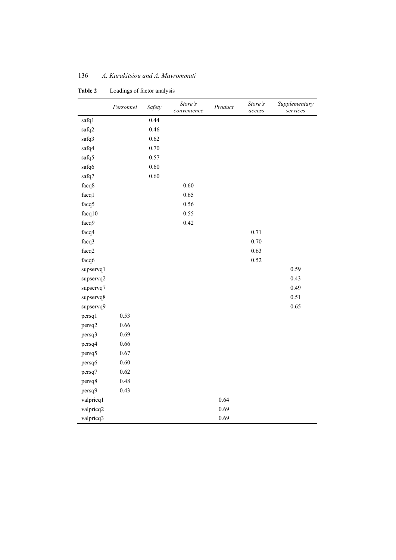|           | Personnel | Safety | Store's<br>convenience | Product | Store's<br>access | Supplementary<br>services |
|-----------|-----------|--------|------------------------|---------|-------------------|---------------------------|
| safq1     |           | 0.44   |                        |         |                   |                           |
| safq2     |           | 0.46   |                        |         |                   |                           |
| safq3     |           | 0.62   |                        |         |                   |                           |
| safq4     |           | 0.70   |                        |         |                   |                           |
| safq5     |           | 0.57   |                        |         |                   |                           |
| safq6     |           | 0.60   |                        |         |                   |                           |
| safq7     |           | 0.60   |                        |         |                   |                           |
| facq8     |           |        | 0.60                   |         |                   |                           |
| facq1     |           |        | 0.65                   |         |                   |                           |
| facq5     |           |        | 0.56                   |         |                   |                           |
| facq10    |           |        | 0.55                   |         |                   |                           |
| facq9     |           |        | 0.42                   |         |                   |                           |
| facq4     |           |        |                        |         | 0.71              |                           |
| facq3     |           |        |                        |         | 0.70              |                           |
| facq2     |           |        |                        |         | 0.63              |                           |
| facq6     |           |        |                        |         | 0.52              |                           |
| supservq1 |           |        |                        |         |                   | 0.59                      |
| supservq2 |           |        |                        |         |                   | 0.43                      |
| supservq7 |           |        |                        |         |                   | 0.49                      |
| supservq8 |           |        |                        |         |                   | 0.51                      |
| supservq9 |           |        |                        |         |                   | 0.65                      |
| persq1    | 0.53      |        |                        |         |                   |                           |
| persq2    | 0.66      |        |                        |         |                   |                           |
| persq3    | 0.69      |        |                        |         |                   |                           |
| persq4    | 0.66      |        |                        |         |                   |                           |
| persq5    | 0.67      |        |                        |         |                   |                           |
| persq6    | 0.60      |        |                        |         |                   |                           |
| persq7    | 0.62      |        |                        |         |                   |                           |
| persq8    | 0.48      |        |                        |         |                   |                           |
| persq9    | 0.43      |        |                        |         |                   |                           |
| valpricq1 |           |        |                        | 0.64    |                   |                           |
| valpricq2 |           |        |                        | 0.69    |                   |                           |
| valpricq3 |           |        |                        | 0.69    |                   |                           |

**Table 2** Loadings of factor analysis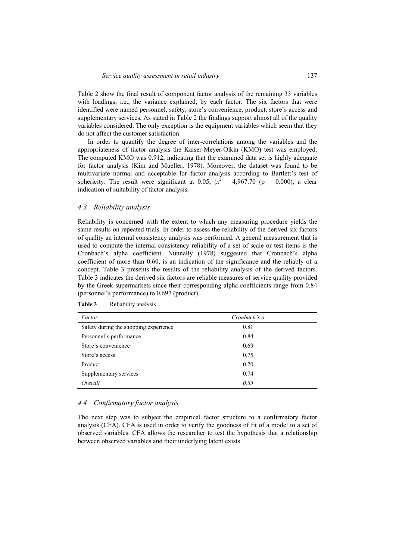Table 2 show the final result of component factor analysis of the remaining 33 variables with loadings, i.e., the variance explained, by each factor. The six factors that were identified were named personnel, safety, store's convenience, product, store's access and supplementary services. As stated in Table 2 the findings support almost all of the quality variables considered. The only exception is the equipment variables which seem that they do not affect the customer satisfaction.

In order to quantify the degree of inter-correlations among the variables and the appropriateness of factor analysis the Kaiser-Meyer-Olkin (KMO) test was employed. The computed KMO was 0.912, indicating that the examined data set is highly adequate for factor analysis (Kim and Mueller, 1978). Moreover, the dataset was found to be multivariate normal and acceptable for factor analysis according to Bartlett's test of sphericity. The result were significant at 0.05,  $(x^2 = 4.967.70$  (p = 0.000), a clear indication of suitability of factor analysis.

#### *4.3 Reliability analysis*

Reliability is concerned with the extent to which any measuring procedure yields the same results on repeated trials. In order to assess the reliability of the derived six factors of quality an internal consistency analysis was performed. A general measurement that is used to compute the internal consistency reliability of a set of scale or test items is the Cronbach's alpha coefficient. Nunnally (1978) suggested that Cronbach's alpha coefficient of more than 0.60, is an indication of the significance and the reliably of a concept. Table 3 presents the results of the reliability analysis of the derived factors. Table 3 indicates the derived six factors are reliable measures of service quality provided by the Greek supermarkets since their corresponding alpha coefficients range from 0.84 (personnel's performance) to 0.697 (product).

| Factor                                | Cronbach's a |
|---------------------------------------|--------------|
| Safety during the shopping experience | 0.81         |
| Personnel's performance               | 0.84         |
| Store's convenience                   | 0.69         |
| Store's access                        | 0.75         |
| Product                               | 0.70         |
| Supplementary services                | 0.74         |
| Overall                               | 0.85         |

Table 3 Reliability analysis

# *4.4 Confirmatory factor analysis*

The next step was to subject the empirical factor structure to a confirmatory factor analysis (CFA). CFA is used in order to verify the goodness of fit of a model to a set of observed variables. CFA allows the researcher to test the hypothesis that a relationship between observed variables and their underlying latent exists.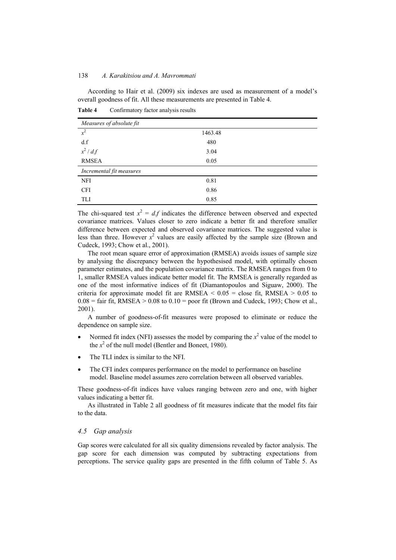According to Hair et al. (2009) six indexes are used as measurement of a model's overall goodness of fit. All these measurements are presented in Table 4.

**Table 4** Confirmatory factor analysis results

| Measures of absolute fit |         |  |  |
|--------------------------|---------|--|--|
| $x^2$                    | 1463.48 |  |  |
| d.f                      | 480     |  |  |
| $x^2$ / d.f              | 3.04    |  |  |
| <b>RMSEA</b>             | 0.05    |  |  |
| Incremental fit measures |         |  |  |
| NFI                      | 0.81    |  |  |
| <b>CFI</b>               | 0.86    |  |  |
| TLI                      | 0.85    |  |  |

The chi-squared test  $x^2 = df$  indicates the difference between observed and expected covariance matrices. Values closer to zero indicate a better fit and therefore smaller difference between expected and observed covariance matrices. The suggested value is less than three. However  $x^2$  values are easily affected by the sample size (Brown and Cudeck, 1993; Chow et al., 2001).

The root mean square error of approximation (RMSEA) avoids issues of sample size by analysing the discrepancy between the hypothesised model, with optimally chosen parameter estimates, and the population covariance matrix. The RMSEA ranges from 0 to 1, smaller RMSEA values indicate better model fit. The RMSEA is generally regarded as one of the most informative indices of fit (Diamantopoulos and Siguaw, 2000). The criteria for approximate model fit are RMSEA  $\leq 0.05$  = close fit, RMSEA  $\geq 0.05$  to  $0.08$  = fair fit, RMSEA > 0.08 to 0.10 = poor fit (Brown and Cudeck, 1993; Chow et al., 2001).

A number of goodness-of-fit measures were proposed to eliminate or reduce the dependence on sample size.

- Normed fit index (NFI) assesses the model by comparing the  $x^2$  value of the model to the  $x^2$  of the null model (Bentler and Boneet, 1980).
- The TLI index is similar to the NFI.
- The CFI index compares performance on the model to performance on baseline model. Baseline model assumes zero correlation between all observed variables.

These goodness-of-fit indices have values ranging between zero and one, with higher values indicating a better fit.

As illustrated in Table 2 all goodness of fit measures indicate that the model fits fair to the data.

#### *4.5 Gap analysis*

Gap scores were calculated for all six quality dimensions revealed by factor analysis. The gap score for each dimension was computed by subtracting expectations from perceptions. The service quality gaps are presented in the fifth column of Table 5. As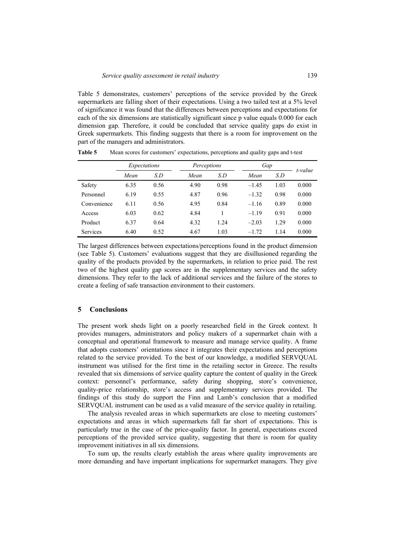Table 5 demonstrates, customers' perceptions of the service provided by the Greek supermarkets are falling short of their expectations. Using a two tailed test at a 5% level of significance it was found that the differences between perceptions and expectations for each of the six dimensions are statistically significant since p value equals 0.000 for each dimension gap. Therefore, it could be concluded that service quality gaps do exist in Greek supermarkets. This finding suggests that there is a room for improvement on the part of the managers and administrators.

|             | Expectations |      | Perceptions |      | Gap     |      |         |
|-------------|--------------|------|-------------|------|---------|------|---------|
|             | Mean         | S.D  | Mean        | S.D  | Mean    | S.D  | t-value |
| Safety      | 6.35         | 0.56 | 4.90        | 0.98 | $-1.45$ | 1.03 | 0.000   |
| Personnel   | 6.19         | 0.55 | 4.87        | 0.96 | $-1.32$ | 0.98 | 0.000   |
| Convenience | 6.11         | 0.56 | 4.95        | 0.84 | $-1.16$ | 0.89 | 0.000   |
| Access      | 6.03         | 0.62 | 4.84        |      | $-1.19$ | 0.91 | 0.000   |
| Product     | 6.37         | 0.64 | 4.32        | 1.24 | $-2.03$ | 1.29 | 0.000   |
| Services    | 6.40         | 0.52 | 4.67        | 1.03 | $-1.72$ | 1.14 | 0.000   |

**Table 5** Mean scores for customers' expectations, perceptions and quality gaps and t-test

The largest differences between expectations/perceptions found in the product dimension (see Table 5). Customers' evaluations suggest that they are disillusioned regarding the quality of the products provided by the supermarkets, in relation to price paid. The rest two of the highest quality gap scores are in the supplementary services and the safety dimensions. They refer to the lack of additional services and the failure of the stores to create a feeling of safe transaction environment to their customers.

# **5 Conclusions**

The present work sheds light on a poorly researched field in the Greek context. It provides managers, administrators and policy makers of a supermarket chain with a conceptual and operational framework to measure and manage service quality. A frame that adopts customers' orientations since it integrates their expectations and perceptions related to the service provided. To the best of our knowledge, a modified SERVQUAL instrument was utilised for the first time in the retailing sector in Greece. The results revealed that six dimensions of service quality capture the content of quality in the Greek context: personnel's performance, safety during shopping, store's convenience, quality-price relationship, store's access and supplementary services provided. The findings of this study do support the Finn and Lamb's conclusion that a modified SERVQUAL instrument can be used as a valid measure of the service quality in retailing.

The analysis revealed areas in which supermarkets are close to meeting customers' expectations and areas in which supermarkets fall far short of expectations. This is particularly true in the case of the price-quality factor. In general, expectations exceed perceptions of the provided service quality, suggesting that there is room for quality improvement initiatives in all six dimensions.

To sum up, the results clearly establish the areas where quality improvements are more demanding and have important implications for supermarket managers. They give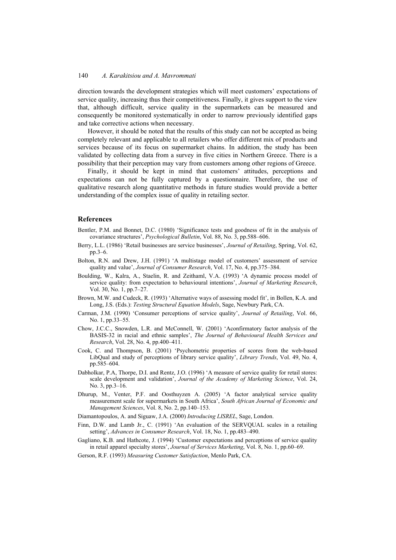direction towards the development strategies which will meet customers' expectations of service quality, increasing thus their competitiveness. Finally, it gives support to the view that, although difficult, service quality in the supermarkets can be measured and consequently be monitored systematically in order to narrow previously identified gaps and take corrective actions when necessary.

However, it should be noted that the results of this study can not be accepted as being completely relevant and applicable to all retailers who offer different mix of products and services because of its focus on supermarket chains. In addition, the study has been validated by collecting data from a survey in five cities in Northern Greece. There is a possibility that their perception may vary from customers among other regions of Greece.

Finally, it should be kept in mind that customers' attitudes, perceptions and expectations can not be fully captured by a questionnaire. Therefore, the use of qualitative research along quantitative methods in future studies would provide a better understanding of the complex issue of quality in retailing sector.

#### **References**

- Bentler, P.M. and Bonnet, D.C. (1980) 'Significance tests and goodness of fit in the analysis of covariance structures', *Psychological Bulletin*, Vol. 88, No. 3, pp.588–606.
- Berry, L.L. (1986) 'Retail businesses are service businesses', *Journal of Retailing*, Spring, Vol. 62, pp.3–6.
- Bolton, R.N. and Drew, J.H. (1991) 'A multistage model of customers' assessment of service quality and value', *Journal of Consumer Research*, Vol. 17, No. 4, pp.375–384.
- Boulding, W., Kalra, A., Staelin, R. and Zeithaml, V.A. (1993) 'A dynamic process model of service quality: from expectation to behavioural intentions', *Journal of Marketing Research*, Vol. 30, No. 1, pp.7–27.
- Brown, M.W. and Cudeck, R. (1993) 'Alternative ways of assessing model fit', in Bollen, K.A. and Long, J.S. (Eds.): *Testing Structural Equation Models*, Sage, Newbury Park, CA.
- Carman, J.M. (1990) 'Consumer perceptions of service quality', *Journal of Retailing*, Vol. 66, No. 1, pp.33–55.
- Chow, J.C.C., Snowden, L.R. and McConnell, W. (2001) 'Aconfirmatory factor analysis of the BASIS-32 in racial and ethnic samples', *The Journal of Behavioural Health Services and Research*, Vol. 28, No. 4, pp.400–411.
- Cook, C. and Thompson, B. (2001) 'Psychometric properties of scores from the web-based LibQual and study of perceptions of library service quality', *Library Trends*, Vol. 49, No. 4, pp.585–604.
- Dabholkar, P.A, Thorpe, D.I. and Rentz, J.O. (1996) 'A measure of service quality for retail stores: scale development and validation', *Journal of the Academy of Marketing Science*, Vol. 24, No. 3, pp.3–16.
- Dhurup, M., Venter, P.F. and Oosthuyzen A. (2005) 'A factor analytical service quality measurement scale for supermarkets in South Africa', *South African Journal of Economic and Management Sciences*, Vol. 8, No. 2, pp.140–153.
- Diamantopoulos, A. and Siguaw, J.A. (2000) *Introducing LISREL*, Sage, London.
- Finn, D.W. and Lamb Jr., C. (1991) 'An evaluation of the SERVQUAL scales in a retailing setting', *Advances in Consumer Research*, Vol. 18, No. 1, pp.483–490.
- Gagliano, K.B. and Hathcote, J. (1994) 'Customer expectations and perceptions of service quality in retail apparel specialty stores', *Journal of Services Marketing*, Vol. 8, No. 1, pp.60–69.
- Gerson, R.F. (1993) *Measuring Customer Satisfaction*, Menlo Park, CA.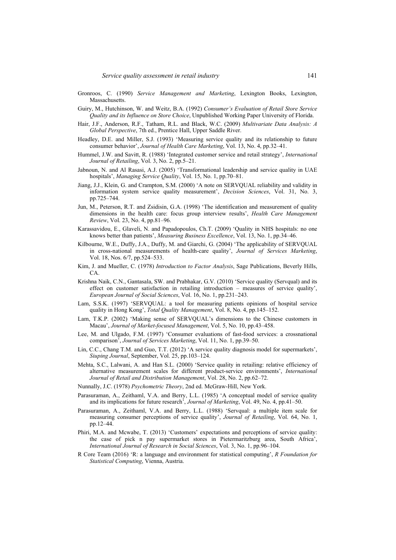- Gronroos, C. (1990) *Service Management and Marketing*, Lexington Books, Lexington, Massachusetts.
- Guiry, M., Hutchinson, W. and Weitz, B.A. (1992) *Consumer's Evaluation of Retail Store Service Quality and its Influence on Store Choice*, Unpublished Working Paper University of Florida.
- Hair, J.F., Anderson, R.F., Tatham, R.L. and Black, W.C. (2009) *Multivariate Data Analysis: A Global Perspective*, 7th ed., Prentice Hall, Upper Saddle River.
- Headley, D.E. and Miller, S.J. (1993) 'Measuring service quality and its relationship to future consumer behavior', *Journal of Health Care Marketing*, Vol. 13, No. 4, pp.32–41.
- Hummel, J.W. and Savitt, R. (1988) 'Integrated customer service and retail strategy', *International Journal of Retailing*, Vol. 3, No. 2, pp.5–21.
- Jabnoun, N. and Al Rasasi, A.J. (2005) 'Transformational leadership and service quality in UAE hospitals', *Managing Service Quality*, Vol. 15, No. 1, pp.70–81.
- Jiang, J.J., Klein, G. and Crampton, S.M. (2000) 'A note on SERVQUAL reliability and validity in information system service quality measurement', *Decision Sciences*, Vol. 31, No. 3, pp.725–744.
- Jun, M., Peterson, R.T. and Zsidisin, G.A. (1998) 'The identification and measurement of quality dimensions in the health care: focus group interview results', *Health Care Management Review*, Vol. 23, No. 4, pp.81–96.
- Karassavidou, E., Glaveli, N. and Papadopoulos, Ch.T. (2009) 'Quality in NHS hospitals: no one knows better than patients', *Measuring Business Excellence*, Vol. 13, No. 1, pp.34–46.
- Kilbourne, W.E., Duffy, J.A., Duffy, M. and Giarchi, G. (2004) 'The applicability of SERVQUAL in cross-national measurements of health-care quality', *Journal of Services Marketing*, Vol. 18, Nos. 6/7, pp.524–533.
- Kim, J. and Mueller, C. (1978) *Introduction to Factor Analysis*, Sage Publications, Beverly Hills, CA.
- Krishna Naik, C.N., Gantasala, SW. and Prabhakar, G.V. (2010) 'Service quality (Servqual) and its effect on customer satisfaction in retailing introduction – measures of service quality', *European Journal of Social Sciences*, Vol. 16, No. 1, pp.231–243.
- Lam, S.S.K. (1997) 'SERVQUAL: a tool for measuring patients opinions of hospital service quality in Hong Kong', *Total Quality Management*, Vol. 8, No. 4, pp.145–152.
- Lam, T.K.P. (2002) 'Making sense of SERVQUAL's dimensions to the Chinese customers in Macau', *Journal of Market-focused Management*, Vol. 5, No. 10, pp.43–458.
- Lee, M. and Ulgado, F.M. (1997) 'Consumer evaluations of fast-food services: a crossnational comparison', *Journal of Services Marketing*, Vol. 11, No. 1, pp.39–50.
- Lin, C.C., Chang T.M. and Guo, T.T. (2012) 'A service quality diagnosis model for supermarkets', *Siuping Journal*, September, Vol. 25, pp.103–124.
- Mehta, S.C., Lalwani, A. and Han S.L. (2000) 'Service quality in retailing: relative efficiency of alternative measurement scales for different product-service environments', *International Journal of Retail and Distribution Management*, Vol. 28, No. 2, pp.62–72.
- Nunnally, J.C. (1978) *Psychometric Theory*, 2nd ed. McGraw-Hill, New York.
- Parasuraman, A., Zeithaml, V.A. and Berry, L.L. (1985) 'A conceptual model of service quality and its implications for future research', *Journal of Marketing*, Vol. 49, No. 4, pp.41–50.
- Parasuraman, A., Zeithaml, V.A. and Berry, L.L. (1988) 'Servqual: a multiple item scale for measuring consumer perceptions of service quality', *Journal of Retailing*, Vol. 64, No. 1, pp.12–44.
- Phiri, M.A. and Mcwabe, T. (2013) 'Customers' expectations and perceptions of service quality: the case of pick n pay supermarket stores in Pietermaritzburg area, South Africa', *International Journal of Research in Social Sciences*, Vol. 3, No. 1, pp.96–104.
- R Core Team (2016) 'R: a language and environment for statistical computing', *R Foundation for Statistical Computing*, Vienna, Austria.